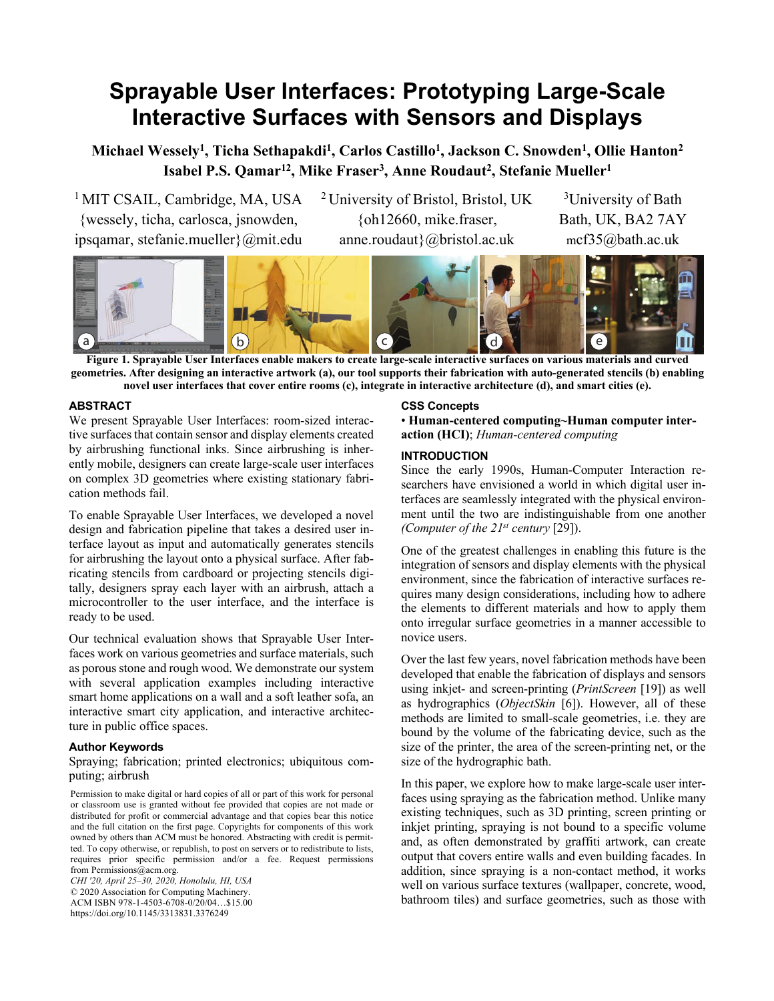# **Sprayable User Interfaces: Prototyping Large-Scale Interactive Surfaces with Sensors and Displays**

**Michael Wessely1 , Ticha Sethapakdi1 , Carlos Castillo1 , Jackson C. Snowden1 , Ollie Hanton2 Isabel P.S. Qamar12 , Mike Fraser3 , Anne Roudaut2 , Stefanie Mueller1**

<sup>1</sup> MIT CSAIL, Cambridge, MA, USA {wessely, ticha, carlosca, jsnowden, ipsqamar, stefanie.mueller}@mit.edu 2 University of Bristol, Bristol, UK {oh12660, mike.fraser, anne.roudaut}@bristol.ac.uk

<sup>3</sup>University of Bath Bath, UK, BA2 7AY mcf35@bath.ac.uk



**Figure 1. Sprayable User Interfaces enable makers to create large-scale interactive surfaces on various materials and curved geometries. After designing an interactive artwork (a), our tool supports their fabrication with auto-generated stencils (b) enabling novel user interfaces that cover entire rooms (c), integrate in interactive architecture (d), and smart cities (e).**

# **ABSTRACT**

We present Sprayable User Interfaces: room-sized interactive surfaces that contain sensor and display elements created by airbrushing functional inks. Since airbrushing is inherently mobile, designers can create large-scale user interfaces on complex 3D geometries where existing stationary fabrication methods fail.

To enable Sprayable User Interfaces, we developed a novel design and fabrication pipeline that takes a desired user interface layout as input and automatically generates stencils for airbrushing the layout onto a physical surface. After fabricating stencils from cardboard or projecting stencils digitally, designers spray each layer with an airbrush, attach a microcontroller to the user interface, and the interface is ready to be used.

Our technical evaluation shows that Sprayable User Interfaces work on various geometries and surface materials, such as porous stone and rough wood. We demonstrate our system with several application examples including interactive smart home applications on a wall and a soft leather sofa, an interactive smart city application, and interactive architecture in public office spaces.

#### **Author Keywords**

# Spraying; fabrication; printed electronics; ubiquitous computing; airbrush

Permission to make digital or hard copies of all or part of this work for personal or classroom use is granted without fee provided that copies are not made or distributed for profit or commercial advantage and that copies bear this notice and the full citation on the first page. Copyrights for components of this work owned by others than ACM must be honored. Abstracting with credit is permitted. To copy otherwise, or republish, to post on servers or to redistribute to lists, requires prior specific permission and/or a fee. Request permissions from Permissions@acm.org.

*CHI '20, April 25–30, 2020, Honolulu, HI, USA* © 2020 Association for Computing Machinery. ACM ISBN 978-1-4503-6708-0/20/04…\$15.00 https://doi.org/10.1145/3313831.3376249

#### **CSS Concepts**

• **Human-centered computing~Human computer interaction (HCI)**; *Human-centered computing*

# **INTRODUCTION**

Since the early 1990s, Human-Computer Interaction researchers have envisioned a world in which digital user interfaces are seamlessly integrated with the physical environment until the two are indistinguishable from one another *(Computer of the 21st century* [29]).

One of the greatest challenges in enabling this future is the integration of sensors and display elements with the physical environment, since the fabrication of interactive surfaces requires many design considerations, including how to adhere the elements to different materials and how to apply them onto irregular surface geometries in a manner accessible to novice users.

Over the last few years, novel fabrication methods have been developed that enable the fabrication of displays and sensors using inkjet- and screen-printing (*PrintScreen* [19]) as well as hydrographics (*ObjectSkin* [6]). However, all of these methods are limited to small-scale geometries, i.e. they are bound by the volume of the fabricating device, such as the size of the printer, the area of the screen-printing net, or the size of the hydrographic bath.

In this paper, we explore how to make large-scale user interfaces using spraying as the fabrication method. Unlike many existing techniques, such as 3D printing, screen printing or inkjet printing, spraying is not bound to a specific volume and, as often demonstrated by graffiti artwork, can create output that covers entire walls and even building facades. In addition, since spraying is a non-contact method, it works well on various surface textures (wallpaper, concrete, wood, bathroom tiles) and surface geometries, such as those with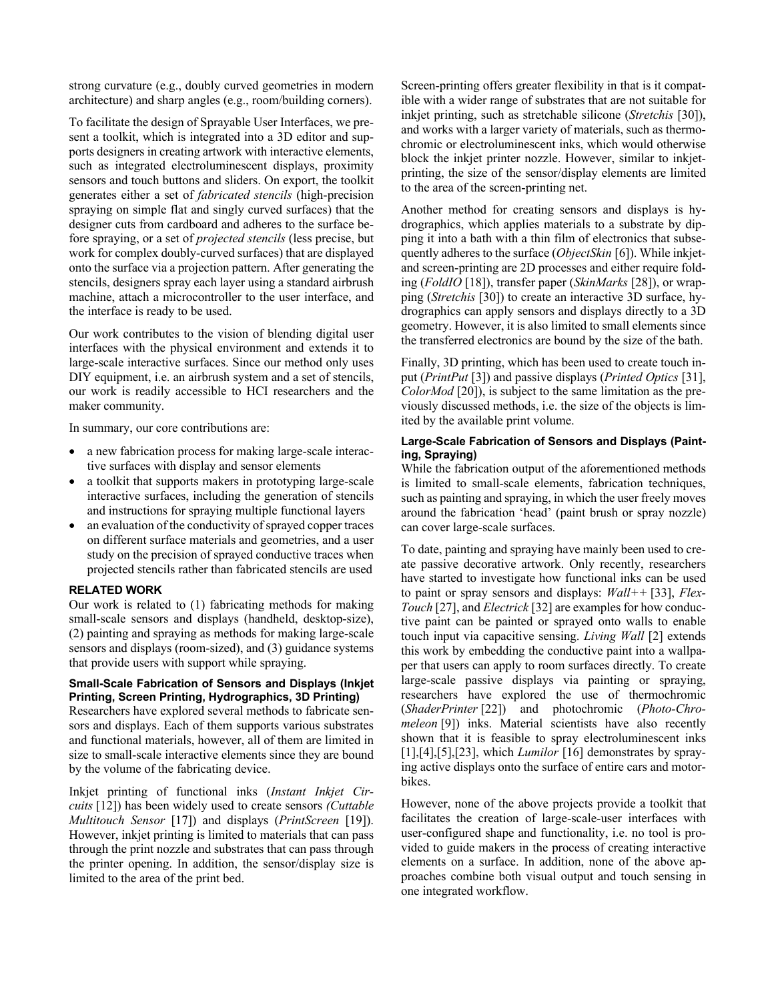strong curvature (e.g., doubly curved geometries in modern architecture) and sharp angles (e.g., room/building corners).

To facilitate the design of Sprayable User Interfaces, we present a toolkit, which is integrated into a 3D editor and supports designers in creating artwork with interactive elements, such as integrated electroluminescent displays, proximity sensors and touch buttons and sliders. On export, the toolkit generates either a set of *fabricated stencils* (high-precision spraying on simple flat and singly curved surfaces) that the designer cuts from cardboard and adheres to the surface before spraying, or a set of *projected stencils* (less precise, but work for complex doubly-curved surfaces) that are displayed onto the surface via a projection pattern. After generating the stencils, designers spray each layer using a standard airbrush machine, attach a microcontroller to the user interface, and the interface is ready to be used.

Our work contributes to the vision of blending digital user interfaces with the physical environment and extends it to large-scale interactive surfaces. Since our method only uses DIY equipment, i.e. an airbrush system and a set of stencils, our work is readily accessible to HCI researchers and the maker community.

In summary, our core contributions are:

- a new fabrication process for making large-scale interactive surfaces with display and sensor elements
- a toolkit that supports makers in prototyping large-scale interactive surfaces, including the generation of stencils and instructions for spraying multiple functional layers
- an evaluation of the conductivity of sprayed copper traces on different surface materials and geometries, and a user study on the precision of sprayed conductive traces when projected stencils rather than fabricated stencils are used

# **RELATED WORK**

Our work is related to (1) fabricating methods for making small-scale sensors and displays (handheld, desktop-size), (2) painting and spraying as methods for making large-scale sensors and displays (room-sized), and (3) guidance systems that provide users with support while spraying.

## **Small-Scale Fabrication of Sensors and Displays (Inkjet Printing, Screen Printing, Hydrographics, 3D Printing)**

Researchers have explored several methods to fabricate sensors and displays. Each of them supports various substrates and functional materials, however, all of them are limited in size to small-scale interactive elements since they are bound by the volume of the fabricating device.

Inkjet printing of functional inks (*Instant Inkjet Circuits* [12]) has been widely used to create sensors *(Cuttable Multitouch Sensor* [17]) and displays (*PrintScreen* [19]). However, inkjet printing is limited to materials that can pass through the print nozzle and substrates that can pass through the printer opening. In addition, the sensor/display size is limited to the area of the print bed.

Screen-printing offers greater flexibility in that is it compatible with a wider range of substrates that are not suitable for inkjet printing, such as stretchable silicone (*Stretchis* [30]), and works with a larger variety of materials, such as thermochromic or electroluminescent inks, which would otherwise block the inkjet printer nozzle. However, similar to inkjetprinting, the size of the sensor/display elements are limited to the area of the screen-printing net.

Another method for creating sensors and displays is hydrographics, which applies materials to a substrate by dipping it into a bath with a thin film of electronics that subsequently adheres to the surface (*ObjectSkin* [6]). While inkjetand screen-printing are 2D processes and either require folding (*FoldIO* [18]), transfer paper (*SkinMarks* [28]), or wrapping (*Stretchis* [30]) to create an interactive 3D surface, hydrographics can apply sensors and displays directly to a 3D geometry. However, it is also limited to small elements since the transferred electronics are bound by the size of the bath.

Finally, 3D printing, which has been used to create touch input (*PrintPut* [3]) and passive displays (*Printed Optics* [31], *ColorMod* [20]), is subject to the same limitation as the previously discussed methods, i.e. the size of the objects is limited by the available print volume.

# **Large-Scale Fabrication of Sensors and Displays (Painting, Spraying)**

While the fabrication output of the aforementioned methods is limited to small-scale elements, fabrication techniques, such as painting and spraying, in which the user freely moves around the fabrication 'head' (paint brush or spray nozzle) can cover large-scale surfaces.

To date, painting and spraying have mainly been used to create passive decorative artwork. Only recently, researchers have started to investigate how functional inks can be used to paint or spray sensors and displays: *Wall++* [33], *Flex-Touch* [27], and *Electrick* [32] are examples for how conductive paint can be painted or sprayed onto walls to enable touch input via capacitive sensing. *Living Wall* [2] extends this work by embedding the conductive paint into a wallpaper that users can apply to room surfaces directly. To create large-scale passive displays via painting or spraying, researchers have explored the use of thermochromic (*ShaderPrinter* [22]) and photochromic (*Photo-Chromeleon* [9]) inks. Material scientists have also recently shown that it is feasible to spray electroluminescent inks [1],[4],[5],[23], which *Lumilor* [16] demonstrates by spraying active displays onto the surface of entire cars and motorbikes.

However, none of the above projects provide a toolkit that facilitates the creation of large-scale-user interfaces with user-configured shape and functionality, i.e. no tool is provided to guide makers in the process of creating interactive elements on a surface. In addition, none of the above approaches combine both visual output and touch sensing in one integrated workflow.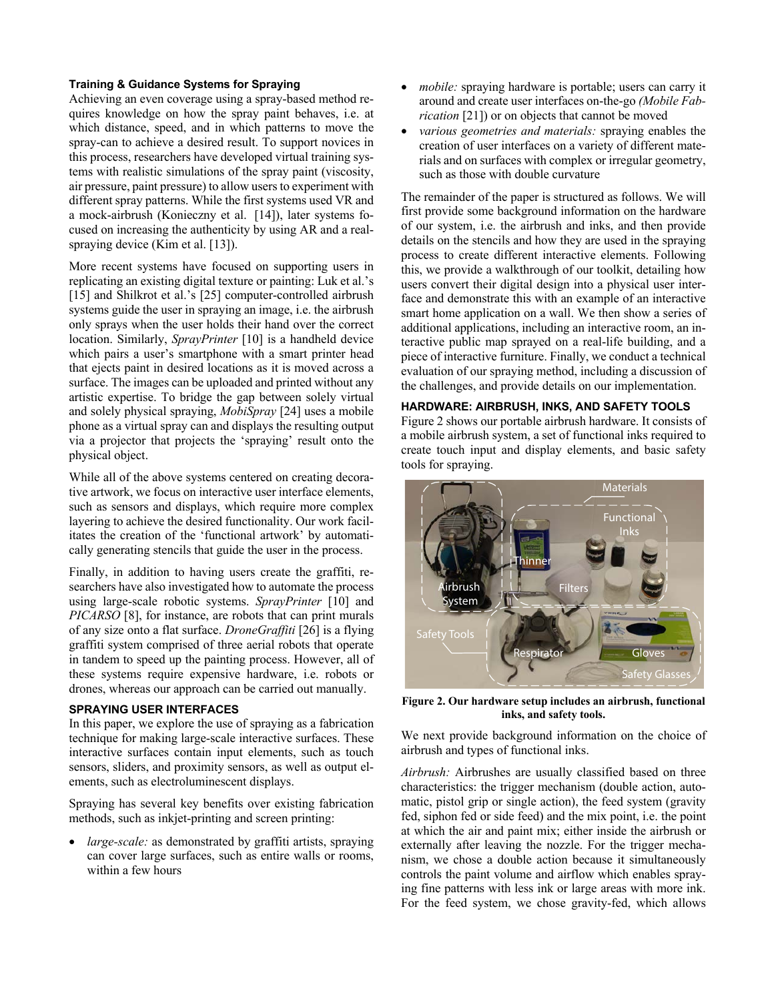# **Training & Guidance Systems for Spraying**

Achieving an even coverage using a spray-based method requires knowledge on how the spray paint behaves, i.e. at which distance, speed, and in which patterns to move the spray-can to achieve a desired result. To support novices in this process, researchers have developed virtual training systems with realistic simulations of the spray paint (viscosity, air pressure, paint pressure) to allow users to experiment with different spray patterns. While the first systems used VR and a mock-airbrush (Konieczny et al. [14]), later systems focused on increasing the authenticity by using AR and a realspraying device (Kim et al. [13]).

More recent systems have focused on supporting users in replicating an existing digital texture or painting: Luk et al.'s [15] and Shilkrot et al.'s [25] computer-controlled airbrush systems guide the user in spraying an image, i.e. the airbrush only sprays when the user holds their hand over the correct location. Similarly, *SprayPrinter* [10] is a handheld device which pairs a user's smartphone with a smart printer head that ejects paint in desired locations as it is moved across a surface. The images can be uploaded and printed without any artistic expertise. To bridge the gap between solely virtual and solely physical spraying, *MobiSpray* [24] uses a mobile phone as a virtual spray can and displays the resulting output via a projector that projects the 'spraying' result onto the physical object.

While all of the above systems centered on creating decorative artwork, we focus on interactive user interface elements, such as sensors and displays, which require more complex layering to achieve the desired functionality. Our work facilitates the creation of the 'functional artwork' by automatically generating stencils that guide the user in the process.

Finally, in addition to having users create the graffiti, researchers have also investigated how to automate the process using large-scale robotic systems. *SprayPrinter* [10] and *PICARSO* [8], for instance, are robots that can print murals of any size onto a flat surface. *DroneGraffiti* [26] is a flying graffiti system comprised of three aerial robots that operate in tandem to speed up the painting process. However, all of these systems require expensive hardware, i.e. robots or drones, whereas our approach can be carried out manually.

#### **SPRAYING USER INTERFACES**

In this paper, we explore the use of spraying as a fabrication technique for making large-scale interactive surfaces. These interactive surfaces contain input elements, such as touch sensors, sliders, and proximity sensors, as well as output elements, such as electroluminescent displays.

Spraying has several key benefits over existing fabrication methods, such as inkjet-printing and screen printing:

*large-scale:* as demonstrated by graffiti artists, spraying can cover large surfaces, such as entire walls or rooms, within a few hours

- *mobile:* spraying hardware is portable; users can carry it around and create user interfaces on-the-go *(Mobile Fabrication* [21]) or on objects that cannot be moved
- *various geometries and materials:* spraying enables the creation of user interfaces on a variety of different materials and on surfaces with complex or irregular geometry, such as those with double curvature

The remainder of the paper is structured as follows. We will first provide some background information on the hardware of our system, i.e. the airbrush and inks, and then provide details on the stencils and how they are used in the spraying process to create different interactive elements. Following this, we provide a walkthrough of our toolkit, detailing how users convert their digital design into a physical user interface and demonstrate this with an example of an interactive smart home application on a wall. We then show a series of additional applications, including an interactive room, an interactive public map sprayed on a real-life building, and a piece of interactive furniture. Finally, we conduct a technical evaluation of our spraying method, including a discussion of the challenges, and provide details on our implementation.

# **HARDWARE: AIRBRUSH, INKS, AND SAFETY TOOLS**

Figure 2 shows our portable airbrush hardware. It consists of a mobile airbrush system, a set of functional inks required to create touch input and display elements, and basic safety tools for spraying.



**Figure 2. Our hardware setup includes an airbrush, functional inks, and safety tools.**

We next provide background information on the choice of airbrush and types of functional inks.

*Airbrush:* Airbrushes are usually classified based on three characteristics: the trigger mechanism (double action, automatic, pistol grip or single action), the feed system (gravity fed, siphon fed or side feed) and the mix point, i.e. the point at which the air and paint mix; either inside the airbrush or externally after leaving the nozzle. For the trigger mechanism, we chose a double action because it simultaneously controls the paint volume and airflow which enables spraying fine patterns with less ink or large areas with more ink. For the feed system, we chose gravity-fed, which allows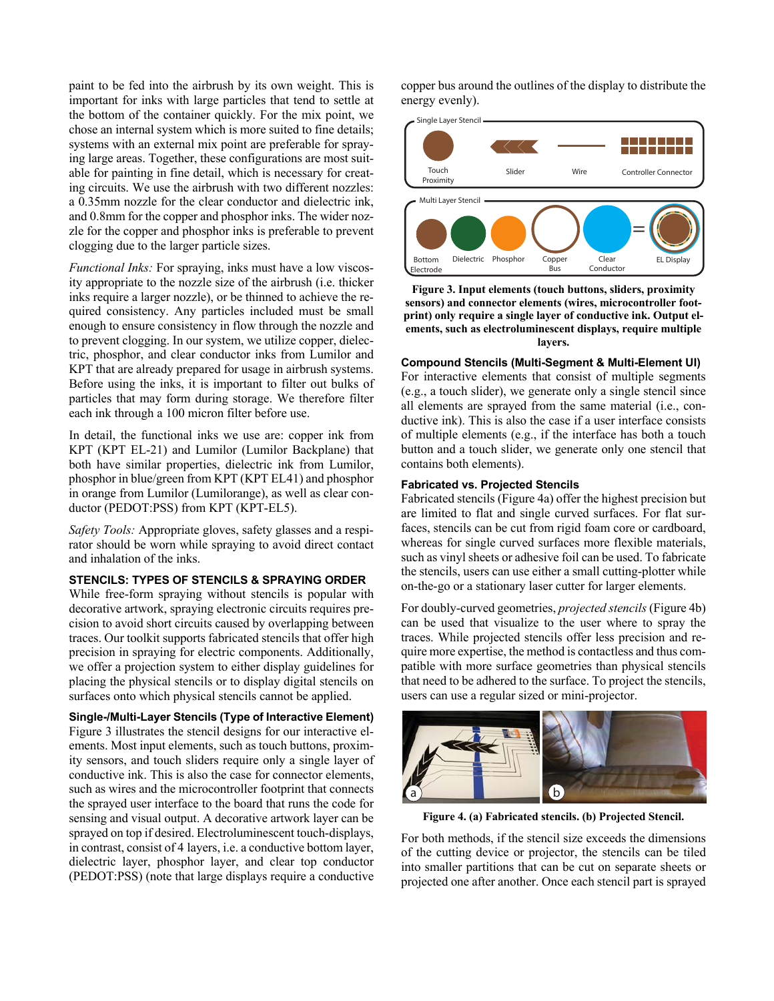paint to be fed into the airbrush by its own weight. This is important for inks with large particles that tend to settle at the bottom of the container quickly. For the mix point, we chose an internal system which is more suited to fine details; systems with an external mix point are preferable for spraying large areas. Together, these configurations are most suitable for painting in fine detail, which is necessary for creating circuits. We use the airbrush with two different nozzles: a 0.35mm nozzle for the clear conductor and dielectric ink, and 0.8mm for the copper and phosphor inks. The wider nozzle for the copper and phosphor inks is preferable to prevent clogging due to the larger particle sizes.

*Functional Inks:* For spraying, inks must have a low viscosity appropriate to the nozzle size of the airbrush (i.e. thicker inks require a larger nozzle), or be thinned to achieve the required consistency. Any particles included must be small enough to ensure consistency in flow through the nozzle and to prevent clogging. In our system, we utilize copper, dielectric, phosphor, and clear conductor inks from Lumilor and KPT that are already prepared for usage in airbrush systems. Before using the inks, it is important to filter out bulks of particles that may form during storage. We therefore filter each ink through a 100 micron filter before use.

In detail, the functional inks we use are: copper ink from KPT (KPT EL-21) and Lumilor (Lumilor Backplane) that both have similar properties, dielectric ink from Lumilor, phosphor in blue/green from KPT (KPT EL41) and phosphor in orange from Lumilor (Lumilorange), as well as clear conductor (PEDOT:PSS) from KPT (KPT-EL5).

*Safety Tools:* Appropriate gloves, safety glasses and a respirator should be worn while spraying to avoid direct contact and inhalation of the inks.

#### **STENCILS: TYPES OF STENCILS & SPRAYING ORDER**

While free-form spraying without stencils is popular with decorative artwork, spraying electronic circuits requires precision to avoid short circuits caused by overlapping between traces. Our toolkit supports fabricated stencils that offer high precision in spraying for electric components. Additionally, we offer a projection system to either display guidelines for placing the physical stencils or to display digital stencils on surfaces onto which physical stencils cannot be applied.

# **Single-/Multi-Layer Stencils (Type of Interactive Element)**

Figure 3 illustrates the stencil designs for our interactive elements. Most input elements, such as touch buttons, proximity sensors, and touch sliders require only a single layer of conductive ink. This is also the case for connector elements, such as wires and the microcontroller footprint that connects the sprayed user interface to the board that runs the code for sensing and visual output. A decorative artwork layer can be sprayed on top if desired. Electroluminescent touch-displays, in contrast, consist of 4 layers, i.e. a conductive bottom layer, dielectric layer, phosphor layer, and clear top conductor (PEDOT:PSS) (note that large displays require a conductive copper bus around the outlines of the display to distribute the energy evenly).



**Figure 3. Input elements (touch buttons, sliders, proximity sensors) and connector elements (wires, microcontroller footprint) only require a single layer of conductive ink. Output elements, such as electroluminescent displays, require multiple layers.**

#### **Compound Stencils (Multi-Segment & Multi-Element UI)**

For interactive elements that consist of multiple segments (e.g., a touch slider), we generate only a single stencil since all elements are sprayed from the same material (i.e., conductive ink). This is also the case if a user interface consists of multiple elements (e.g., if the interface has both a touch button and a touch slider, we generate only one stencil that contains both elements).

# **Fabricated vs. Projected Stencils**

Fabricated stencils (Figure 4a) offer the highest precision but are limited to flat and single curved surfaces. For flat surfaces, stencils can be cut from rigid foam core or cardboard, whereas for single curved surfaces more flexible materials, such as vinyl sheets or adhesive foil can be used. To fabricate the stencils, users can use either a small cutting-plotter while on-the-go or a stationary laser cutter for larger elements.

For doubly-curved geometries, *projected stencils* (Figure 4b) can be used that visualize to the user where to spray the traces. While projected stencils offer less precision and require more expertise, the method is contactless and thus compatible with more surface geometries than physical stencils that need to be adhered to the surface. To project the stencils, users can use a regular sized or mini-projector.



**Figure 4. (a) Fabricated stencils. (b) Projected Stencil.** 

For both methods, if the stencil size exceeds the dimensions of the cutting device or projector, the stencils can be tiled into smaller partitions that can be cut on separate sheets or projected one after another. Once each stencil part is sprayed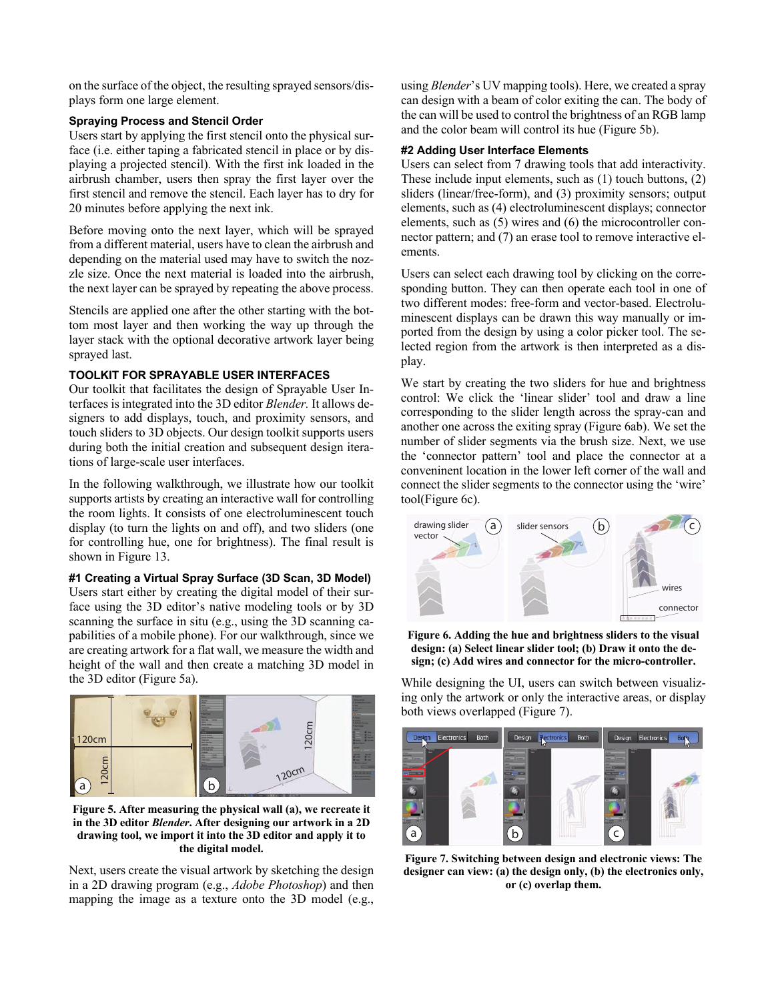on the surface of the object, the resulting sprayed sensors/displays form one large element.

# **Spraying Process and Stencil Order**

Users start by applying the first stencil onto the physical surface (i.e. either taping a fabricated stencil in place or by displaying a projected stencil). With the first ink loaded in the airbrush chamber, users then spray the first layer over the first stencil and remove the stencil. Each layer has to dry for 20 minutes before applying the next ink.

Before moving onto the next layer, which will be sprayed from a different material, users have to clean the airbrush and depending on the material used may have to switch the nozzle size. Once the next material is loaded into the airbrush, the next layer can be sprayed by repeating the above process.

Stencils are applied one after the other starting with the bottom most layer and then working the way up through the layer stack with the optional decorative artwork layer being sprayed last.

# **TOOLKIT FOR SPRAYABLE USER INTERFACES**

Our toolkit that facilitates the design of Sprayable User Interfaces is integrated into the 3D editor *Blender.* It allows designers to add displays, touch, and proximity sensors, and touch sliders to 3D objects. Our design toolkit supports users during both the initial creation and subsequent design iterations of large-scale user interfaces.

In the following walkthrough, we illustrate how our toolkit supports artists by creating an interactive wall for controlling the room lights. It consists of one electroluminescent touch display (to turn the lights on and off), and two sliders (one for controlling hue, one for brightness). The final result is shown in Figure 13.

# **#1 Creating a Virtual Spray Surface (3D Scan, 3D Model)**

Users start either by creating the digital model of their surface using the 3D editor's native modeling tools or by 3D scanning the surface in situ (e.g., using the 3D scanning capabilities of a mobile phone). For our walkthrough, since we are creating artwork for a flat wall, we measure the width and height of the wall and then create a matching 3D model in the 3D editor (Figure 5a).



**Figure 5. After measuring the physical wall (a), we recreate it in the 3D editor** *Blender***. After designing our artwork in a 2D drawing tool, we import it into the 3D editor and apply it to the digital model.**

Next, users create the visual artwork by sketching the design in a 2D drawing program (e.g., *Adobe Photoshop*) and then mapping the image as a texture onto the 3D model (e.g., using *Blender*'s UV mapping tools). Here, we created a spray can design with a beam of color exiting the can. The body of the can will be used to control the brightness of an RGB lamp and the color beam will control its hue (Figure 5b).

# **#2 Adding User Interface Elements**

Users can select from 7 drawing tools that add interactivity. These include input elements, such as (1) touch buttons, (2) sliders (linear/free-form), and (3) proximity sensors; output elements, such as (4) electroluminescent displays; connector elements, such as (5) wires and (6) the microcontroller connector pattern; and (7) an erase tool to remove interactive elements.

Users can select each drawing tool by clicking on the corresponding button. They can then operate each tool in one of two different modes: free-form and vector-based. Electroluminescent displays can be drawn this way manually or imported from the design by using a color picker tool. The selected region from the artwork is then interpreted as a display.

We start by creating the two sliders for hue and brightness control: We click the 'linear slider' tool and draw a line corresponding to the slider length across the spray-can and another one across the exiting spray (Figure 6ab). We set the number of slider segments via the brush size. Next, we use the 'connector pattern' tool and place the connector at a conveninent location in the lower left corner of the wall and connect the slider segments to the connector using the 'wire' tool(Figure 6c).



**Figure 6. Adding the hue and brightness sliders to the visual design: (a) Select linear slider tool; (b) Draw it onto the design; (c) Add wires and connector for the micro-controller.**

While designing the UI, users can switch between visualizing only the artwork or only the interactive areas, or display both views overlapped (Figure 7).



**Figure 7. Switching between design and electronic views: The designer can view: (a) the design only, (b) the electronics only, or (c) overlap them.**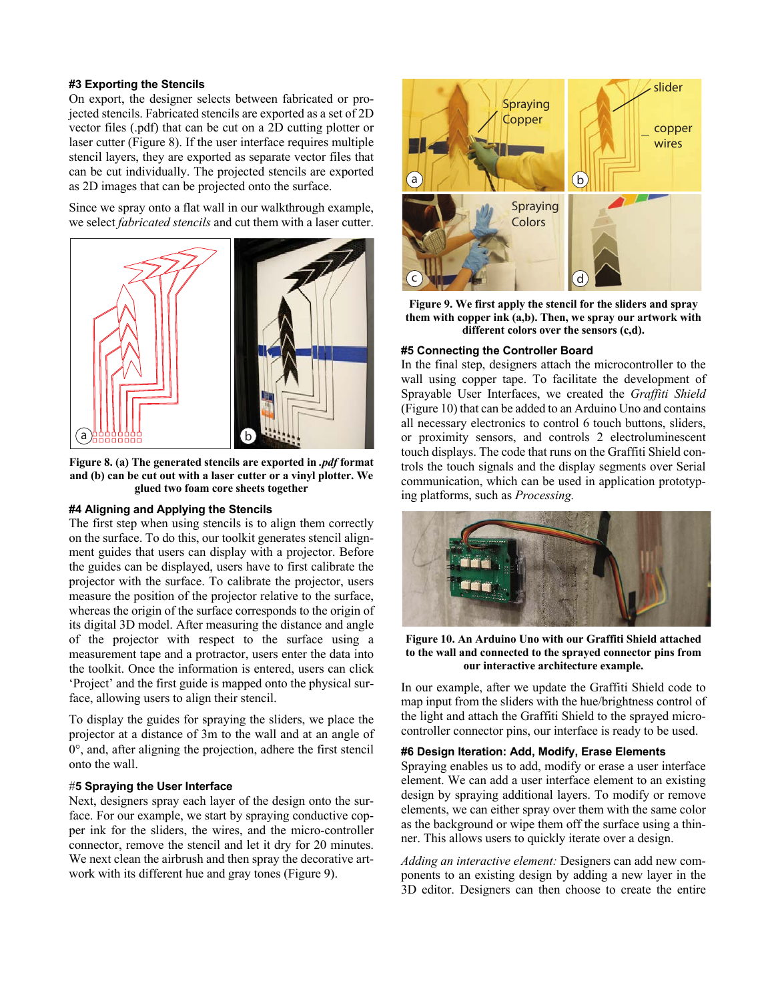# **#3 Exporting the Stencils**

On export, the designer selects between fabricated or projected stencils. Fabricated stencils are exported as a set of 2D vector files (.pdf) that can be cut on a 2D cutting plotter or laser cutter (Figure 8). If the user interface requires multiple stencil layers, they are exported as separate vector files that can be cut individually. The projected stencils are exported as 2D images that can be projected onto the surface.

Since we spray onto a flat wall in our walkthrough example, we select *fabricated stencils* and cut them with a laser cutter.



**Figure 8. (a) The generated stencils are exported in** *.pdf* **format and (b) can be cut out with a laser cutter or a vinyl plotter. We glued two foam core sheets together** 

#### **#4 Aligning and Applying the Stencils**

The first step when using stencils is to align them correctly on the surface. To do this, our toolkit generates stencil alignment guides that users can display with a projector. Before the guides can be displayed, users have to first calibrate the projector with the surface. To calibrate the projector, users measure the position of the projector relative to the surface, whereas the origin of the surface corresponds to the origin of its digital 3D model. After measuring the distance and angle of the projector with respect to the surface using a measurement tape and a protractor, users enter the data into the toolkit. Once the information is entered, users can click 'Project' and the first guide is mapped onto the physical surface, allowing users to align their stencil.

To display the guides for spraying the sliders, we place the projector at a distance of 3m to the wall and at an angle of  $0^{\circ}$ , and, after aligning the projection, adhere the first stencil onto the wall.

#### #**5 Spraying the User Interface**

Next, designers spray each layer of the design onto the surface. For our example, we start by spraying conductive copper ink for the sliders, the wires, and the micro-controller connector, remove the stencil and let it dry for 20 minutes. We next clean the airbrush and then spray the decorative artwork with its different hue and gray tones (Figure 9).



**Figure 9. We first apply the stencil for the sliders and spray them with copper ink (a,b). Then, we spray our artwork with different colors over the sensors (c,d).**

#### **#5 Connecting the Controller Board**

In the final step, designers attach the microcontroller to the wall using copper tape. To facilitate the development of Sprayable User Interfaces, we created the *Graffiti Shield* (Figure 10) that can be added to an Arduino Uno and contains all necessary electronics to control 6 touch buttons, sliders, or proximity sensors, and controls 2 electroluminescent touch displays. The code that runs on the Graffiti Shield controls the touch signals and the display segments over Serial communication, which can be used in application prototyping platforms, such as *Processing.* 



**Figure 10. An Arduino Uno with our Graffiti Shield attached to the wall and connected to the sprayed connector pins from our interactive architecture example.**

In our example, after we update the Graffiti Shield code to map input from the sliders with the hue/brightness control of the light and attach the Graffiti Shield to the sprayed microcontroller connector pins, our interface is ready to be used.

# **#6 Design Iteration: Add, Modify, Erase Elements**

Spraying enables us to add, modify or erase a user interface element. We can add a user interface element to an existing design by spraying additional layers. To modify or remove elements, we can either spray over them with the same color as the background or wipe them off the surface using a thinner. This allows users to quickly iterate over a design.

*Adding an interactive element:* Designers can add new components to an existing design by adding a new layer in the 3D editor. Designers can then choose to create the entire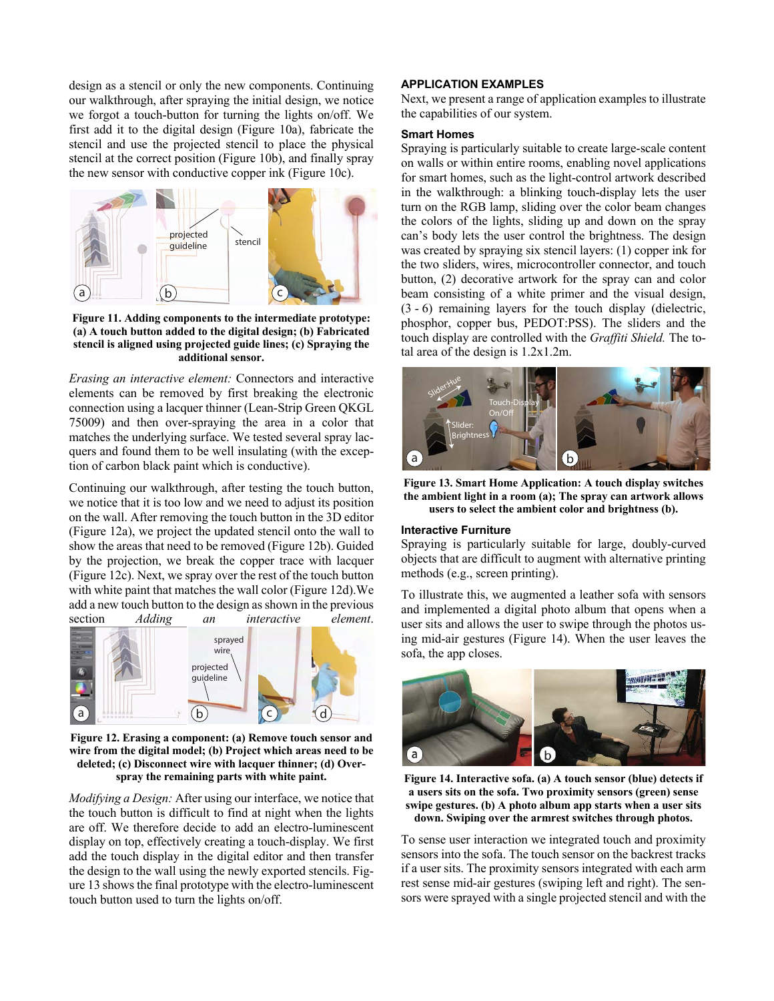design as a stencil or only the new components. Continuing our walkthrough, after spraying the initial design, we notice we forgot a touch-button for turning the lights on/off. We first add it to the digital design (Figure 10a), fabricate the stencil and use the projected stencil to place the physical stencil at the correct position (Figure 10b), and finally spray the new sensor with conductive copper ink (Figure 10c).



**Figure 11. Adding components to the intermediate prototype: (a) A touch button added to the digital design; (b) Fabricated stencil is aligned using projected guide lines; (c) Spraying the additional sensor.**

*Erasing an interactive element:* Connectors and interactive elements can be removed by first breaking the electronic connection using a lacquer thinner (Lean-Strip Green QKGL 75009) and then over-spraying the area in a color that matches the underlying surface. We tested several spray lacquers and found them to be well insulating (with the exception of carbon black paint which is conductive).

Continuing our walkthrough, after testing the touch button, we notice that it is too low and we need to adjust its position on the wall. After removing the touch button in the 3D editor (Figure 12a), we project the updated stencil onto the wall to show the areas that need to be removed (Figure 12b). Guided by the projection, we break the copper trace with lacquer (Figure 12c). Next, we spray over the rest of the touch button with white paint that matches the wall color (Figure 12d).We add a new touch button to the design as shown in the previous<br>section Adding an interactive element. Adding an interactive element.



**Figure 12. Erasing a component: (a) Remove touch sensor and wire from the digital model; (b) Project which areas need to be deleted; (c) Disconnect wire with lacquer thinner; (d) Overspray the remaining parts with white paint.**

*Modifying a Design:* After using our interface, we notice that the touch button is difficult to find at night when the lights are off. We therefore decide to add an electro-luminescent display on top, effectively creating a touch-display. We first add the touch display in the digital editor and then transfer the design to the wall using the newly exported stencils. Figure 13 shows the final prototype with the electro-luminescent touch button used to turn the lights on/off.

# **APPLICATION EXAMPLES**

Next, we present a range of application examples to illustrate the capabilities of our system.

#### **Smart Homes**

Spraying is particularly suitable to create large-scale content on walls or within entire rooms, enabling novel applications for smart homes, such as the light-control artwork described in the walkthrough: a blinking touch-display lets the user turn on the RGB lamp, sliding over the color beam changes the colors of the lights, sliding up and down on the spray can's body lets the user control the brightness. The design was created by spraying six stencil layers: (1) copper ink for the two sliders, wires, microcontroller connector, and touch button, (2) decorative artwork for the spray can and color beam consisting of a white primer and the visual design, (3 - 6) remaining layers for the touch display (dielectric, phosphor, copper bus, PEDOT:PSS). The sliders and the touch display are controlled with the *Graffiti Shield.* The total area of the design is 1.2x1.2m.



**Figure 13. Smart Home Application: A touch display switches the ambient light in a room (a); The spray can artwork allows users to select the ambient color and brightness (b).**

#### **Interactive Furniture**

Spraying is particularly suitable for large, doubly-curved objects that are difficult to augment with alternative printing methods (e.g., screen printing).

To illustrate this, we augmented a leather sofa with sensors and implemented a digital photo album that opens when a user sits and allows the user to swipe through the photos using mid-air gestures (Figure 14). When the user leaves the sofa, the app closes.



**Figure 14. Interactive sofa. (a) A touch sensor (blue) detects if a users sits on the sofa. Two proximity sensors (green) sense swipe gestures. (b) A photo album app starts when a user sits down. Swiping over the armrest switches through photos.**

To sense user interaction we integrated touch and proximity sensors into the sofa. The touch sensor on the backrest tracks if a user sits. The proximity sensors integrated with each arm rest sense mid-air gestures (swiping left and right). The sensors were sprayed with a single projected stencil and with the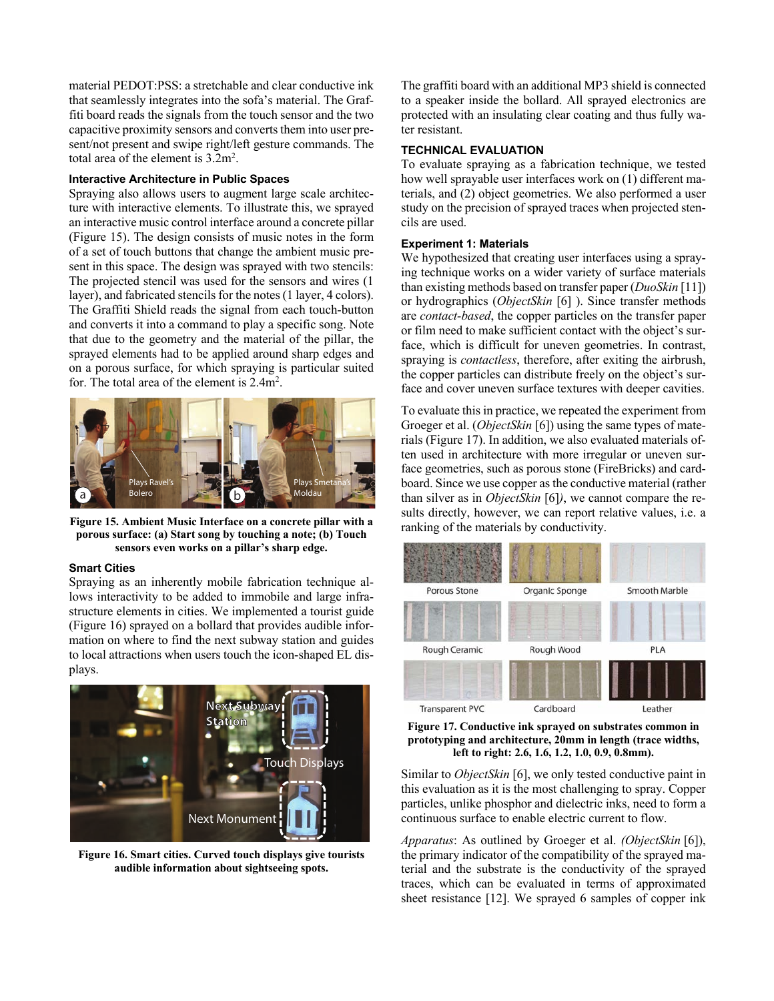material PEDOT:PSS: a stretchable and clear conductive ink that seamlessly integrates into the sofa's material. The Graffiti board reads the signals from the touch sensor and the two capacitive proximity sensors and converts them into user present/not present and swipe right/left gesture commands. The total area of the element is  $3.2m^2$ .

# **Interactive Architecture in Public Spaces**

Spraying also allows users to augment large scale architecture with interactive elements. To illustrate this, we sprayed an interactive music control interface around a concrete pillar (Figure 15). The design consists of music notes in the form of a set of touch buttons that change the ambient music present in this space. The design was sprayed with two stencils: The projected stencil was used for the sensors and wires (1 layer), and fabricated stencils for the notes (1 layer, 4 colors). The Graffiti Shield reads the signal from each touch-button and converts it into a command to play a specific song. Note that due to the geometry and the material of the pillar, the sprayed elements had to be applied around sharp edges and on a porous surface, for which spraying is particular suited for. The total area of the element is  $2.4m^2$ .



**Figure 15. Ambient Music Interface on a concrete pillar with a porous surface: (a) Start song by touching a note; (b) Touch sensors even works on a pillar's sharp edge.**

#### **Smart Cities**

Spraying as an inherently mobile fabrication technique allows interactivity to be added to immobile and large infrastructure elements in cities. We implemented a tourist guide (Figure 16) sprayed on a bollard that provides audible information on where to find the next subway station and guides to local attractions when users touch the icon-shaped EL displays.



**Figure 16. Smart cities. Curved touch displays give tourists audible information about sightseeing spots.**

The graffiti board with an additional MP3 shield is connected to a speaker inside the bollard. All sprayed electronics are protected with an insulating clear coating and thus fully water resistant.

## **TECHNICAL EVALUATION**

To evaluate spraying as a fabrication technique, we tested how well sprayable user interfaces work on (1) different materials, and (2) object geometries. We also performed a user study on the precision of sprayed traces when projected stencils are used.

# **Experiment 1: Materials**

We hypothesized that creating user interfaces using a spraying technique works on a wider variety of surface materials than existing methods based on transfer paper (*DuoSkin* [11]) or hydrographics (*ObjectSkin* [6] ). Since transfer methods are *contact-based*, the copper particles on the transfer paper or film need to make sufficient contact with the object's surface, which is difficult for uneven geometries. In contrast, spraying is *contactless*, therefore, after exiting the airbrush, the copper particles can distribute freely on the object's surface and cover uneven surface textures with deeper cavities.

To evaluate this in practice, we repeated the experiment from Groeger et al. (*ObjectSkin* [6]) using the same types of materials (Figure 17). In addition, we also evaluated materials often used in architecture with more irregular or uneven surface geometries, such as porous stone (FireBricks) and cardboard. Since we use copper as the conductive material (rather than silver as in *ObjectSkin* [6]*)*, we cannot compare the results directly, however, we can report relative values, i.e. a ranking of the materials by conductivity.





Similar to *ObjectSkin* [6], we only tested conductive paint in this evaluation as it is the most challenging to spray. Copper particles, unlike phosphor and dielectric inks, need to form a continuous surface to enable electric current to flow.

*Apparatus*: As outlined by Groeger et al. *(ObjectSkin* [6]), the primary indicator of the compatibility of the sprayed material and the substrate is the conductivity of the sprayed traces, which can be evaluated in terms of approximated sheet resistance [12]. We sprayed 6 samples of copper ink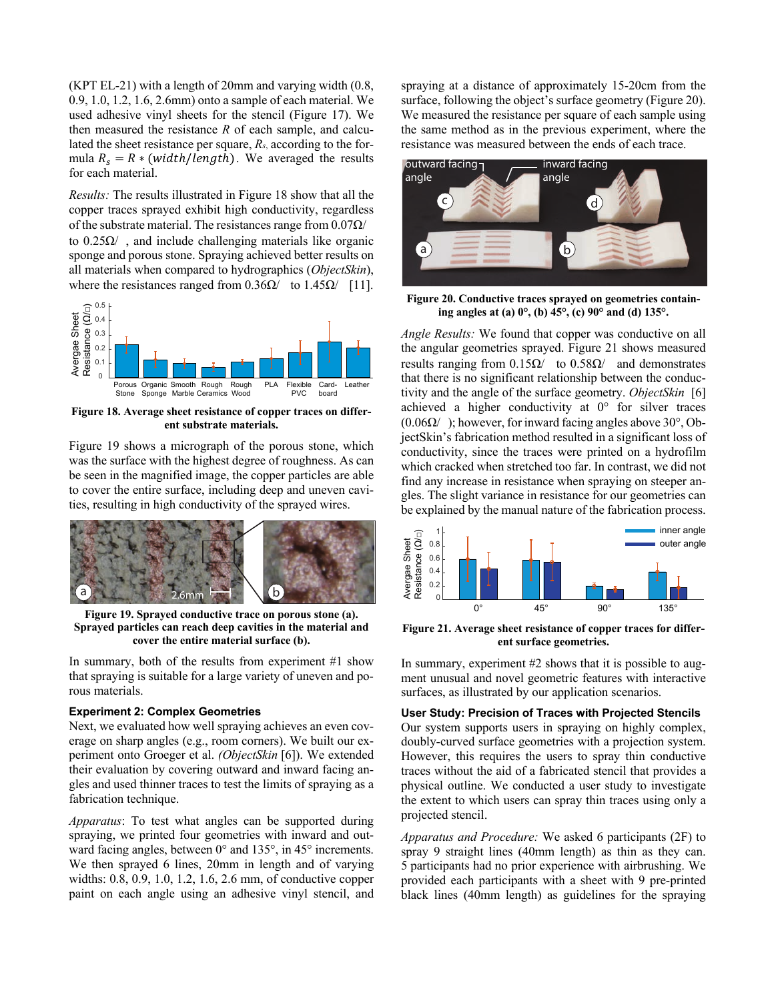(KPT EL-21) with a length of 20mm and varying width (0.8, 0.9, 1.0, 1.2, 1.6, 2.6mm) onto a sample of each material. We used adhesive vinyl sheets for the stencil (Figure 17). We then measured the resistance *R* of each sample, and calculated the sheet resistance per square, *Rs*, according to the formula  $R_s = R * (width/length)$ . We averaged the results for each material.

*Results:* The results illustrated in Figure 18 show that all the copper traces sprayed exhibit high conductivity, regardless of the substrate material. The resistances range from  $0.07\Omega/$ to  $0.25\Omega/$ , and include challenging materials like organic sponge and porous stone. Spraying achieved better results on all materials when compared to hydrographics (*ObjectSkin*), where the resistances ranged from  $0.36\Omega/$  to  $1.45\Omega/$  [11].



**Figure 18. Average sheet resistance of copper traces on different substrate materials.**

Figure 19 shows a micrograph of the porous stone, which was the surface with the highest degree of roughness. As can be seen in the magnified image, the copper particles are able to cover the entire surface, including deep and uneven cavities, resulting in high conductivity of the sprayed wires.



**Figure 19. Sprayed conductive trace on porous stone (a). Sprayed particles can reach deep cavities in the material and cover the entire material surface (b).**

In summary, both of the results from experiment #1 show that spraying is suitable for a large variety of uneven and porous materials.

#### **Experiment 2: Complex Geometries**

Next, we evaluated how well spraying achieves an even coverage on sharp angles (e.g., room corners). We built our experiment onto Groeger et al. *(ObjectSkin* [6]). We extended their evaluation by covering outward and inward facing angles and used thinner traces to test the limits of spraying as a fabrication technique.

*Apparatus*: To test what angles can be supported during spraying, we printed four geometries with inward and outward facing angles, between 0° and 135°, in 45° increments. We then sprayed 6 lines, 20mm in length and of varying widths: 0.8, 0.9, 1.0, 1.2, 1.6, 2.6 mm, of conductive copper paint on each angle using an adhesive vinyl stencil, and spraying at a distance of approximately 15-20cm from the surface, following the object's surface geometry (Figure 20). We measured the resistance per square of each sample using the same method as in the previous experiment, where the resistance was measured between the ends of each trace.



**Figure 20. Conductive traces sprayed on geometries containing angles at (a) 0°, (b) 45°, (c) 90° and (d) 135°.**

*Angle Results:* We found that copper was conductive on all the angular geometries sprayed. Figure 21 shows measured results ranging from  $0.15Ω/$  to  $0.58Ω/$  and demonstrates that there is no significant relationship between the conductivity and the angle of the surface geometry. *ObjectSkin* [6] achieved a higher conductivity at 0° for silver traces  $(0.06\Omega)$ ); however, for inward facing angles above 30°, ObjectSkin's fabrication method resulted in a significant loss of conductivity, since the traces were printed on a hydrofilm which cracked when stretched too far. In contrast, we did not find any increase in resistance when spraying on steeper angles. The slight variance in resistance for our geometries can be explained by the manual nature of the fabrication process.



**Figure 21. Average sheet resistance of copper traces for different surface geometries.** 

In summary, experiment #2 shows that it is possible to augment unusual and novel geometric features with interactive surfaces, as illustrated by our application scenarios.

# **User Study: Precision of Traces with Projected Stencils**

Our system supports users in spraying on highly complex, doubly-curved surface geometries with a projection system. However, this requires the users to spray thin conductive traces without the aid of a fabricated stencil that provides a physical outline. We conducted a user study to investigate the extent to which users can spray thin traces using only a projected stencil.

*Apparatus and Procedure:* We asked 6 participants (2F) to spray 9 straight lines (40mm length) as thin as they can. 5 participants had no prior experience with airbrushing. We provided each participants with a sheet with 9 pre-printed black lines (40mm length) as guidelines for the spraying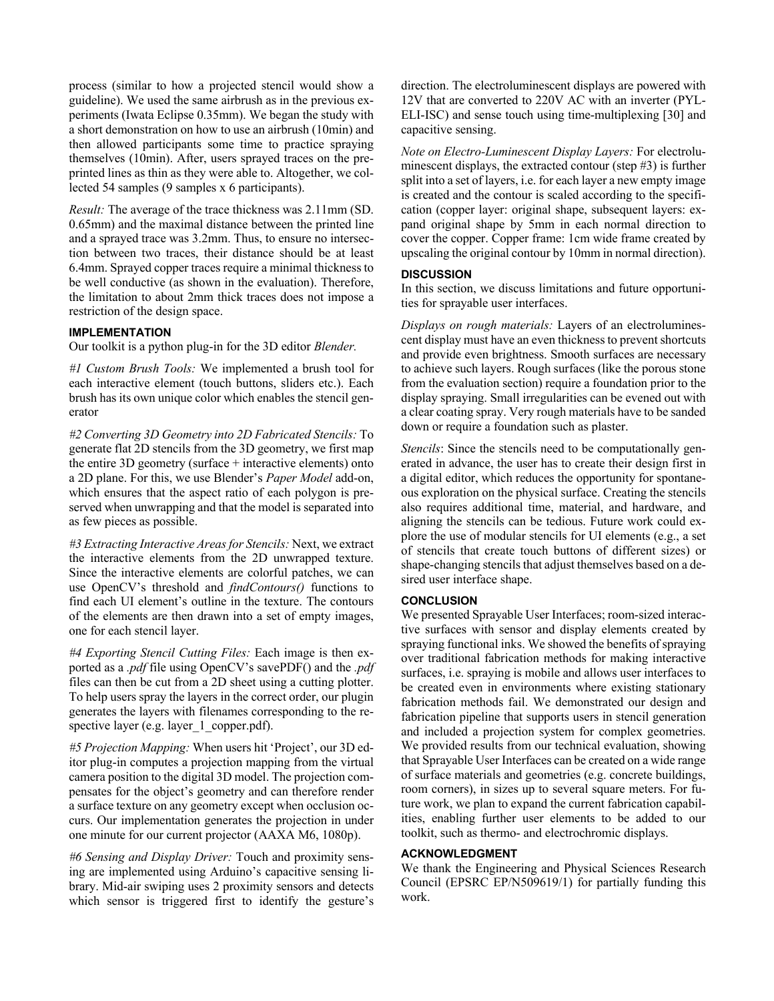process (similar to how a projected stencil would show a guideline). We used the same airbrush as in the previous experiments (Iwata Eclipse 0.35mm). We began the study with a short demonstration on how to use an airbrush (10min) and then allowed participants some time to practice spraying themselves (10min). After, users sprayed traces on the preprinted lines as thin as they were able to. Altogether, we collected 54 samples (9 samples x 6 participants).

*Result:* The average of the trace thickness was 2.11mm (SD. 0.65mm) and the maximal distance between the printed line and a sprayed trace was 3.2mm. Thus, to ensure no intersection between two traces, their distance should be at least 6.4mm. Sprayed copper traces require a minimal thickness to be well conductive (as shown in the evaluation). Therefore, the limitation to about 2mm thick traces does not impose a restriction of the design space.

# **IMPLEMENTATION**

Our toolkit is a python plug-in for the 3D editor *Blender.*

*#1 Custom Brush Tools:* We implemented a brush tool for each interactive element (touch buttons, sliders etc.). Each brush has its own unique color which enables the stencil generator

*#2 Converting 3D Geometry into 2D Fabricated Stencils:* To generate flat 2D stencils from the 3D geometry, we first map the entire 3D geometry (surface + interactive elements) onto a 2D plane. For this, we use Blender's *Paper Model* add-on, which ensures that the aspect ratio of each polygon is preserved when unwrapping and that the model is separated into as few pieces as possible.

*#3 Extracting Interactive Areas for Stencils:* Next, we extract the interactive elements from the 2D unwrapped texture. Since the interactive elements are colorful patches, we can use OpenCV's threshold and *findContours()* functions to find each UI element's outline in the texture. The contours of the elements are then drawn into a set of empty images, one for each stencil layer.

*#4 Exporting Stencil Cutting Files:* Each image is then exported as a *.pdf* file using OpenCV's savePDF() and the *.pdf* files can then be cut from a 2D sheet using a cutting plotter. To help users spray the layers in the correct order, our plugin generates the layers with filenames corresponding to the respective layer (e.g. layer 1 copper.pdf).

*#5 Projection Mapping:* When users hit 'Project', our 3D editor plug-in computes a projection mapping from the virtual camera position to the digital 3D model. The projection compensates for the object's geometry and can therefore render a surface texture on any geometry except when occlusion occurs. Our implementation generates the projection in under one minute for our current projector (AAXA M6, 1080p).

*#6 Sensing and Display Driver:* Touch and proximity sensing are implemented using Arduino's capacitive sensing library. Mid-air swiping uses 2 proximity sensors and detects which sensor is triggered first to identify the gesture's direction. The electroluminescent displays are powered with 12V that are converted to 220V AC with an inverter (PYL-ELI-ISC) and sense touch using time-multiplexing [30] and capacitive sensing.

*Note on Electro-Luminescent Display Layers:* For electroluminescent displays, the extracted contour (step #3) is further split into a set of layers, i.e. for each layer a new empty image is created and the contour is scaled according to the specification (copper layer: original shape, subsequent layers: expand original shape by 5mm in each normal direction to cover the copper. Copper frame: 1cm wide frame created by upscaling the original contour by 10mm in normal direction).

# **DISCUSSION**

In this section, we discuss limitations and future opportunities for sprayable user interfaces.

*Displays on rough materials:* Layers of an electroluminescent display must have an even thickness to prevent shortcuts and provide even brightness. Smooth surfaces are necessary to achieve such layers. Rough surfaces (like the porous stone from the evaluation section) require a foundation prior to the display spraying. Small irregularities can be evened out with a clear coating spray. Very rough materials have to be sanded down or require a foundation such as plaster.

*Stencils*: Since the stencils need to be computationally generated in advance, the user has to create their design first in a digital editor, which reduces the opportunity for spontaneous exploration on the physical surface. Creating the stencils also requires additional time, material, and hardware, and aligning the stencils can be tedious. Future work could explore the use of modular stencils for UI elements (e.g., a set of stencils that create touch buttons of different sizes) or shape-changing stencils that adjust themselves based on a desired user interface shape.

#### **CONCLUSION**

We presented Sprayable User Interfaces; room-sized interactive surfaces with sensor and display elements created by spraying functional inks. We showed the benefits of spraying over traditional fabrication methods for making interactive surfaces, i.e. spraying is mobile and allows user interfaces to be created even in environments where existing stationary fabrication methods fail. We demonstrated our design and fabrication pipeline that supports users in stencil generation and included a projection system for complex geometries. We provided results from our technical evaluation, showing that Sprayable User Interfaces can be created on a wide range of surface materials and geometries (e.g. concrete buildings, room corners), in sizes up to several square meters. For future work, we plan to expand the current fabrication capabilities, enabling further user elements to be added to our toolkit, such as thermo- and electrochromic displays.

# **ACKNOWLEDGMENT**

We thank the Engineering and Physical Sciences Research Council (EPSRC EP/N509619/1) for partially funding this work.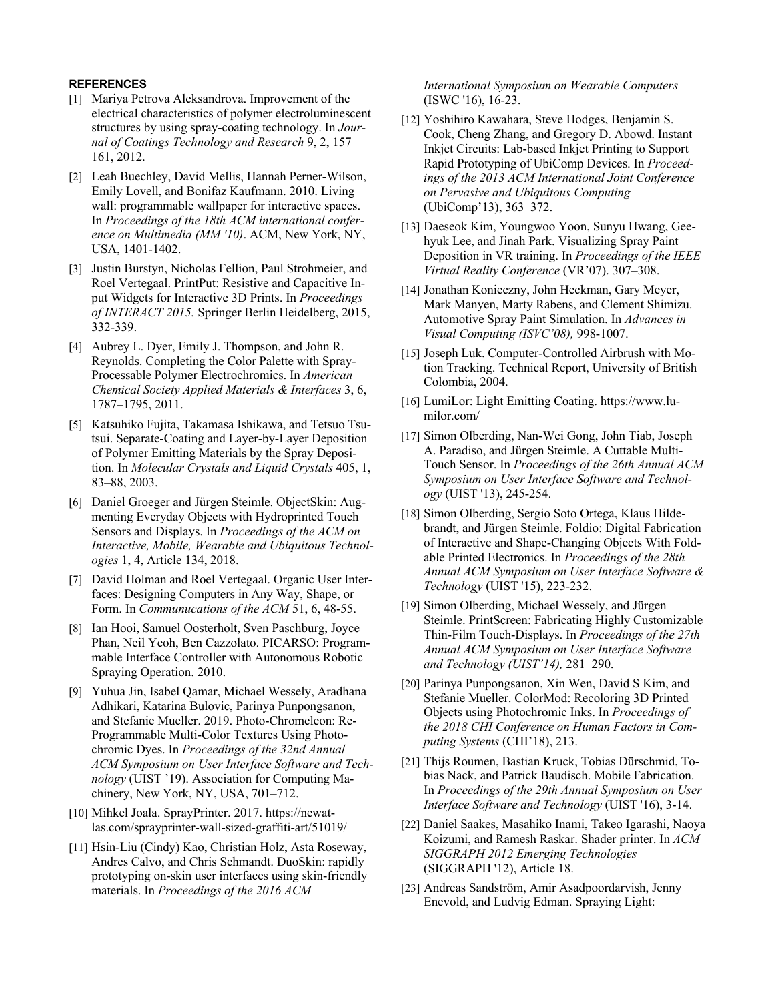# **REFERENCES**

- [1] Mariya Petrova Aleksandrova. Improvement of the electrical characteristics of polymer electroluminescent structures by using spray-coating technology. In *Journal of Coatings Technology and Research* 9, 2, 157– 161, 2012.
- [2] Leah Buechley, David Mellis, Hannah Perner-Wilson, Emily Lovell, and Bonifaz Kaufmann. 2010. Living wall: programmable wallpaper for interactive spaces. In *Proceedings of the 18th ACM international conference on Multimedia (MM '10)*. ACM, New York, NY, USA, 1401-1402.
- [3] Justin Burstyn, Nicholas Fellion, Paul Strohmeier, and Roel Vertegaal. PrintPut: Resistive and Capacitive Input Widgets for Interactive 3D Prints. In *Proceedings of INTERACT 2015.* Springer Berlin Heidelberg, 2015, 332-339.
- [4] Aubrey L. Dyer, Emily J. Thompson, and John R. Reynolds. Completing the Color Palette with Spray-Processable Polymer Electrochromics. In *American Chemical Society Applied Materials & Interfaces* 3, 6, 1787–1795, 2011.
- [5] Katsuhiko Fujita, Takamasa Ishikawa, and Tetsuo Tsutsui. Separate-Coating and Layer-by-Layer Deposition of Polymer Emitting Materials by the Spray Deposition. In *Molecular Crystals and Liquid Crystals* 405, 1, 83–88, 2003.
- [6] Daniel Groeger and Jürgen Steimle. ObjectSkin: Augmenting Everyday Objects with Hydroprinted Touch Sensors and Displays. In *Proceedings of the ACM on Interactive, Mobile, Wearable and Ubiquitous Technologies* 1, 4, Article 134, 2018.
- [7] David Holman and Roel Vertegaal. Organic User Interfaces: Designing Computers in Any Way, Shape, or Form. In *Communucations of the ACM* 51, 6, 48-55.
- [8] Ian Hooi, Samuel Oosterholt, Sven Paschburg, Joyce Phan, Neil Yeoh, Ben Cazzolato. PICARSO: Programmable Interface Controller with Autonomous Robotic Spraying Operation. 2010.
- [9] Yuhua Jin, Isabel Qamar, Michael Wessely, Aradhana Adhikari, Katarina Bulovic, Parinya Punpongsanon, and Stefanie Mueller. 2019. Photo-Chromeleon: Re-Programmable Multi-Color Textures Using Photochromic Dyes. In *Proceedings of the 32nd Annual ACM Symposium on User Interface Software and Technology* (UIST '19). Association for Computing Machinery, New York, NY, USA, 701–712.
- [10] Mihkel Joala. SprayPrinter. 2017. https://newatlas.com/sprayprinter-wall-sized-graffiti-art/51019/
- [11] Hsin-Liu (Cindy) Kao, Christian Holz, Asta Roseway, Andres Calvo, and Chris Schmandt. DuoSkin: rapidly prototyping on-skin user interfaces using skin-friendly materials. In *Proceedings of the 2016 ACM*

*International Symposium on Wearable Computers* (ISWC '16), 16-23.

- [12] Yoshihiro Kawahara, Steve Hodges, Benjamin S. Cook, Cheng Zhang, and Gregory D. Abowd. Instant Inkjet Circuits: Lab-based Inkjet Printing to Support Rapid Prototyping of UbiComp Devices. In *Proceedings of the 2013 ACM International Joint Conference on Pervasive and Ubiquitous Computing* (UbiComp'13), 363–372.
- [13] Daeseok Kim, Youngwoo Yoon, Sunyu Hwang, Geehyuk Lee, and Jinah Park. Visualizing Spray Paint Deposition in VR training. In *Proceedings of the IEEE Virtual Reality Conference* (VR'07). 307–308.
- [14] Jonathan Konieczny, John Heckman, Gary Meyer, Mark Manyen, Marty Rabens, and Clement Shimizu. Automotive Spray Paint Simulation. In *Advances in Visual Computing (ISVC'08),* 998-1007.
- [15] Joseph Luk. Computer-Controlled Airbrush with Motion Tracking. Technical Report, University of British Colombia, 2004.
- [16] LumiLor: Light Emitting Coating. https://www.lumilor.com/
- [17] Simon Olberding, Nan-Wei Gong, John Tiab, Joseph A. Paradiso, and Jürgen Steimle. A Cuttable Multi-Touch Sensor. In *Proceedings of the 26th Annual ACM Symposium on User Interface Software and Technology* (UIST '13), 245-254.
- [18] Simon Olberding, Sergio Soto Ortega, Klaus Hildebrandt, and Jürgen Steimle. Foldio: Digital Fabrication of Interactive and Shape-Changing Objects With Foldable Printed Electronics. In *Proceedings of the 28th Annual ACM Symposium on User Interface Software & Technology* (UIST '15), 223-232.
- [19] Simon Olberding, Michael Wessely, and Jürgen Steimle. PrintScreen: Fabricating Highly Customizable Thin-Film Touch-Displays. In *Proceedings of the 27th Annual ACM Symposium on User Interface Software and Technology (UIST'14),* 281–290.
- [20] Parinya Punpongsanon, Xin Wen, David S Kim, and Stefanie Mueller. ColorMod: Recoloring 3D Printed Objects using Photochromic Inks. In *Proceedings of the 2018 CHI Conference on Human Factors in Computing Systems* (CHI'18), 213.
- [21] Thijs Roumen, Bastian Kruck, Tobias Dürschmid, Tobias Nack, and Patrick Baudisch. Mobile Fabrication. In *Proceedings of the 29th Annual Symposium on User Interface Software and Technology* (UIST '16), 3-14.
- [22] Daniel Saakes, Masahiko Inami, Takeo Igarashi, Naoya Koizumi, and Ramesh Raskar. Shader printer. In *ACM SIGGRAPH 2012 Emerging Technologies* (SIGGRAPH '12), Article 18.
- [23] Andreas Sandström, Amir Asadpoordarvish, Jenny Enevold, and Ludvig Edman. Spraying Light: